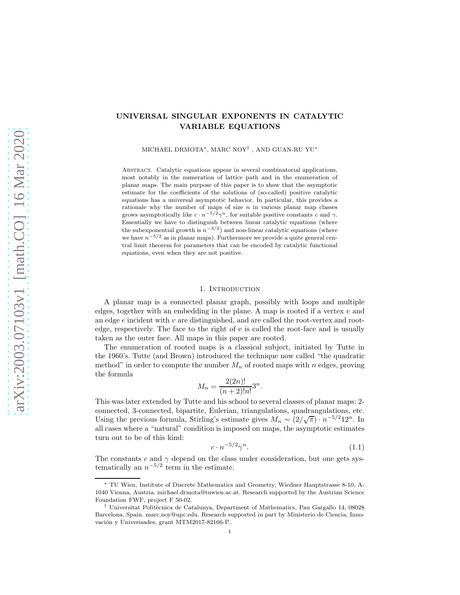# arXiv:2003.07103v1 [math.CO] 16 Mar 2020 [arXiv:2003.07103v1 \[math.CO\] 16 Mar 2020](http://arxiv.org/abs/2003.07103v1)

# UNIVERSAL SINGULAR EXPONENTS IN CATALYTIC VARIABLE EQUATIONS

MICHAEL DRMOTA∗, MARC NOY† , AND GUAN-RU YU<sup>∗</sup>

Abstract. Catalytic equations appear in several combinatorial applications, most notably in the numeration of lattice path and in the enumeration of planar maps. The main purpose of this paper is to show that the asymptotic estimate for the coefficients of the solutions of (so-called) positive catalytic equations has a universal asymptotic behavior. In particular, this provides a rationale why the number of maps of size  $n$  in various planar map classes grows asymptotically like  $c \cdot n^{-5/2} \gamma^n$ , for suitable positive constants c and  $\gamma$ . Essentially we have to distinguish between linear catalytic equations (where the subexponential growth is  $n^{-3/2}$ ) and non-linear catalytic equations (where we have  $n^{-5/2}$  as in planar maps). Furthermore we provide a quite general central limit theorem for parameters that can be encoded by catalytic functional equations, even when they are not positive.

### 1. INTRODUCTION

A planar map is a connected planar graph, possibly with loops and multiple edges, together with an embedding in the plane. A map is rooted if a vertex  $v$  and an edge  $e$  incident with  $v$  are distinguished, and are called the root-vertex and rootedge, respectively. The face to the right of e is called the root-face and is usually taken as the outer face. All maps in this paper are rooted.

The enumeration of rooted maps is a classical subject, initiated by Tutte in the 1960's. Tutte (and Brown) introduced the technique now called "the quadratic method" in order to compute the number  $M_n$  of rooted maps with n edges, proving the formula

$$
M_n = \frac{2(2n)!}{(n+2)!n!}3^n.
$$

This was later extended by Tutte and his school to several classes of planar maps: 2 connected, 3-connected, bipartite, Eulerian, triangulations, quadrangulations, etc. Using the previous formula, Stirling's estimate gives  $M_n \sim (2/\sqrt{\pi}) \cdot n^{-5/2} 12^n$ . In all cases where a "natural" condition is imposed on maps, the asymptotic estimates turn out to be of this kind:

$$
c \cdot n^{-5/2} \gamma^n. \tag{1.1}
$$

The constants c and  $\gamma$  depend on the class under consideration, but one gets systematically an  $n^{-5/2}$  term in the estimate.

<sup>∗</sup> TU Wien, Institute of Discrete Mathematics and Geometry, Wiedner Hauptstrasse 8-10, A-1040 Vienna, Austria. michael.drmota@tuwien.ac.at. Research supported by the Austrian Science Foundation FWF, project F 50-02.

<sup>&</sup>lt;sup>†</sup> Universitat Politècnica de Catalunya, Department of Mathematics, Pau Gargallo 14, 08028 Barcelona, Spain. marc.noy@upc.edu. Research supported in part by Ministerio de Ciencia, Innovación y Univerisades, grant MTM2017-82166-P..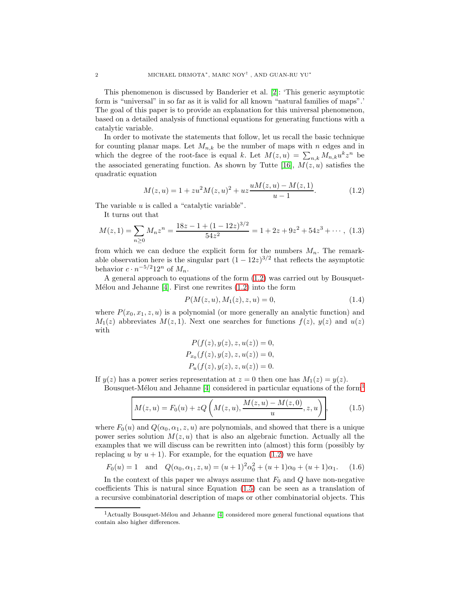This phenomenon is discussed by Banderier et al. [\[2\]](#page-20-0): 'This generic asymptotic form is "universal" in so far as it is valid for all known "natural families of maps".' The goal of this paper is to provide an explanation for this universal phenomenon, based on a detailed analysis of functional equations for generating functions with a catalytic variable.

In order to motivate the statements that follow, let us recall the basic technique for counting planar maps. Let  $M_{n,k}$  be the number of maps with n edges and in which the degree of the root-face is equal k. Let  $M(z, u) = \sum_{n,k} M_{n,k} u^k z^n$  be the associated generating function. As shown by Tutte [\[16\]](#page-20-1),  $M(z, u)$  satisfies the quadratic equation

<span id="page-1-0"></span>
$$
M(z, u) = 1 + zu2M(z, u)2 + uz\frac{uM(z, u) - M(z, 1)}{u - 1}.
$$
 (1.2)

The variable  $u$  is called a "catalytic variable".

It turns out that

<span id="page-1-3"></span>
$$
M(z,1) = \sum_{n\geq 0} M_n z^n = \frac{18z - 1 + (1 - 12z)^{3/2}}{54z^2} = 1 + 2z + 9z^2 + 54z^3 + \cdots, \tag{1.3}
$$

from which we can deduce the explicit form for the numbers  $M_n$ . The remarkable observation here is the singular part  $(1 - 12z)^{3/2}$  that reflects the asymptotic behavior  $c \cdot n^{-5/2} 12^n$  of  $M_n$ .

A general approach to equations of the form [\(1.2\)](#page-1-0) was carried out by Bousquet-Mélou and Jehanne [\[4\]](#page-20-2). First one rewrites  $(1.2)$  into the form

$$
P(M(z, u), M_1(z), z, u) = 0,\t(1.4)
$$

where  $P(x_0, x_1, z, u)$  is a polynomial (or more generally an analytic function) and  $M_1(z)$  abbreviates  $M(z, 1)$ . Next one searches for functions  $f(z)$ ,  $y(z)$  and  $u(z)$ with

$$
P(f(z), y(z), z, u(z)) = 0,
$$
  
\n
$$
P_{x_0}(f(z), y(z), z, u(z)) = 0,
$$
  
\n
$$
P_u(f(z), y(z), z, u(z)) = 0.
$$

If  $y(z)$  has a power series representation at  $z = 0$  then one has  $M_1(z) = y(z)$ .

Bousquet-Mélou and Jehanne [\[4\]](#page-20-2) considered in particular equations of the form<sup>[1](#page-1-1)</sup>

<span id="page-1-2"></span>
$$
M(z, u) = F_0(u) + zQ\left(M(z, u), \frac{M(z, u) - M(z, 0)}{u}, z, u\right),
$$
 (1.5)

where  $F_0(u)$  and  $Q(\alpha_0, \alpha_1, z, u)$  are polynomials, and showed that there is a unique power series solution  $M(z, u)$  that is also an algebraic function. Actually all the examples that we will discuss can be rewritten into (almost) this form (possibly by replacing u by  $u + 1$ ). For example, for the equation [\(1.2\)](#page-1-0) we have

$$
F_0(u) = 1
$$
 and  $Q(\alpha_0, \alpha_1, z, u) = (u+1)^2 \alpha_0^2 + (u+1)\alpha_0 + (u+1)\alpha_1.$  (1.6)

In the context of this paper we always assume that  $F_0$  and  $Q$  have non-negative coefficients This is natural since Equation [\(1.5\)](#page-1-2) can be seen as a translation of a recursive combinatorial description of maps or other combinatorial objects. This

<span id="page-1-1"></span> $1$ Actually Bousquet-Mélou and Jehanne [\[4\]](#page-20-2) considered more general functional equations that contain also higher differences.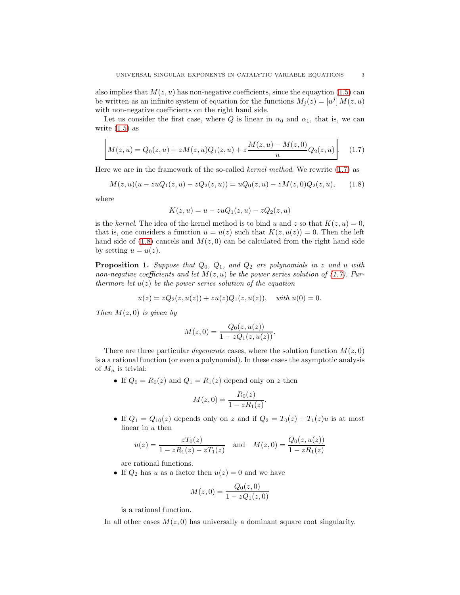also implies that  $M(z, u)$  has non-negative coefficients, since the equaytion [\(1.5\)](#page-1-2) can be written as an infinite system of equation for the functions  $M_j(z) = [u^j] M(z, u)$ with non-negative coefficients on the right hand side.

Let us consider the first case, where Q is linear in  $\alpha_0$  and  $\alpha_1$ , that is, we can write  $(1.5)$  as

<span id="page-2-0"></span>
$$
M(z, u) = Q_0(z, u) + zM(z, u)Q_1(z, u) + z\frac{M(z, u) - M(z, 0)}{u}Q_2(z, u).
$$
 (1.7)

Here we are in the framework of the so-called kernel method. We rewrite [\(1.7\)](#page-2-0) as

<span id="page-2-1"></span>
$$
M(z, u)(u - zuQ1(z, u) - zQ2(z, u)) = uQ0(z, u) - zM(z, 0)Q2(z, u),
$$
 (1.8)

where

$$
K(z, u) = u - zuQ1(z, u) - zQ2(z, u)
$$

is the kernel. The idea of the kernel method is to bind u and z so that  $K(z, u) = 0$ , that is, one considers a function  $u = u(z)$  such that  $K(z, u(z)) = 0$ . Then the left hand side of  $(1.8)$  cancels and  $M(z, 0)$  can be calculated from the right hand side by setting  $u = u(z)$ .

<span id="page-2-2"></span>**Proposition 1.** Suppose that  $Q_0$ ,  $Q_1$ , and  $Q_2$  are polynomials in z und u with non-negative coefficients and let  $M(z, u)$  be the power series solution of [\(1.7\)](#page-2-0). Furthermore let  $u(z)$  be the power series solution of the equation

$$
u(z) = zQ_2(z, u(z)) + zu(z)Q_1(z, u(z)), \quad with \ u(0) = 0.
$$

Then  $M(z, 0)$  is given by

$$
M(z,0) = \frac{Q_0(z, u(z))}{1 - zQ_1(z, u(z))}.
$$

There are three particular *degenerate* cases, where the solution function  $M(z, 0)$ is a a rational function (or even a polynomial). In these cases the asymptotic analysis of  $M_n$  is trivial:

• If  $Q_0 = R_0(z)$  and  $Q_1 = R_1(z)$  depend only on z then

$$
M(z,0) = \frac{R_0(z)}{1 - zR_1(z)}.
$$

• If  $Q_1 = Q_{10}(z)$  depends only on z and if  $Q_2 = T_0(z) + T_1(z)u$  is at most linear in u then

$$
u(z) = \frac{zT_0(z)}{1 - zR_1(z) - zT_1(z)} \quad \text{and} \quad M(z, 0) = \frac{Q_0(z, u(z))}{1 - zR_1(z)}
$$

are rational functions.

• If  $Q_2$  has u as a factor then  $u(z) = 0$  and we have

$$
M(z,0) = \frac{Q_0(z,0)}{1 - zQ_1(z,0)}
$$

is a rational function.

In all other cases  $M(z, 0)$  has universally a dominant square root singularity.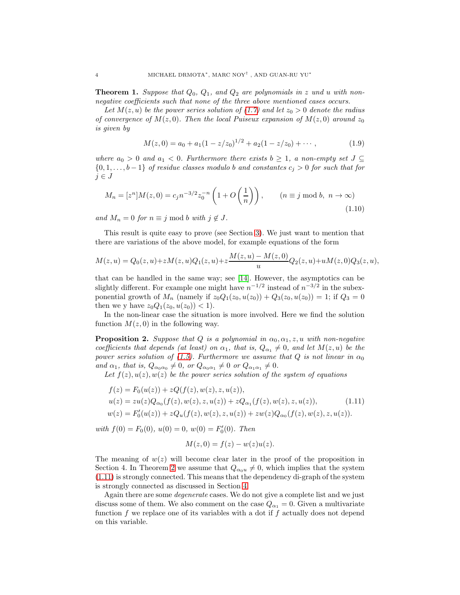<span id="page-3-2"></span>**Theorem 1.** Suppose that  $Q_0$ ,  $Q_1$ , and  $Q_2$  are polynomials in z und u with nonnegative coefficients such that none of the three above mentioned cases occurs.

Let  $M(z, u)$  be the power series solution of [\(1.7\)](#page-2-0) and let  $z_0 > 0$  denote the radius of convergence of  $M(z, 0)$ . Then the local Puiseux expansion of  $M(z, 0)$  around  $z_0$ is given by

<span id="page-3-1"></span>
$$
M(z,0) = a_0 + a_1(1 - z/z_0)^{1/2} + a_2(1 - z/z_0) + \cdots,
$$
\n(1.9)

where  $a_0 > 0$  and  $a_1 < 0$ . Furthermore there exists  $b \ge 1$ , a non-empty set  $J \subseteq$  $\{0, 1, \ldots, b-1\}$  of residue classes modulo b and constants  $c_i > 0$  for such that for  $j \in J$ 

<span id="page-3-4"></span>
$$
M_n = [z^n]M(z,0) = c_j n^{-3/2} z_0^{-n} \left(1 + O\left(\frac{1}{n}\right)\right), \qquad (n \equiv j \bmod b, \ n \to \infty)
$$
\n(1.10)

and  $M_n = 0$  for  $n \equiv j \mod b$  with  $j \notin J$ .

This result is quite easy to prove (see Section [3\)](#page-7-0). We just want to mention that there are variations of the above model, for example equations of the form

$$
M(z, u) = Q_0(z, u) + zM(z, u)Q_1(z, u) + z\frac{M(z, u) - M(z, 0)}{u}Q_2(z, u) + uM(z, 0)Q_3(z, u),
$$

that can be handled in the same way; see [\[14\]](#page-20-3). However, the asymptotics can be slightly different. For example one might have  $n^{-1/2}$  instead of  $n^{-3/2}$  in the subexponential growth of  $M_n$  (namely if  $z_0Q_1(z_0, u(z_0)) + Q_3(z_0, u(z_0)) = 1$ ; if  $Q_3 = 0$ then we y have  $z_0Q_1(z_0, u(z_0)) < 1$ .

In the non-linear case the situation is more involved. Here we find the solution function  $M(z, 0)$  in the following way.

<span id="page-3-3"></span>**Proposition 2.** Suppose that Q is a polynomial in  $\alpha_0, \alpha_1, z, u$  with non-negative coefficients that depends (at least) on  $\alpha_1$ , that is,  $Q_{\alpha_1} \neq 0$ , and let  $M(z, u)$  be the power series solution of [\(1.5\)](#page-1-2). Furthermore we assume that Q is not linear in  $\alpha_0$ and  $\alpha_1$ , that is,  $Q_{\alpha_0\alpha_0} \neq 0$ , or  $Q_{\alpha_0\alpha_1} \neq 0$  or  $Q_{\alpha_1\alpha_1} \neq 0$ .

Let  $f(z)$ ,  $u(z)$ ,  $w(z)$  be the power series solution of the system of equations

$$
f(z) = F_0(u(z)) + zQ(f(z), w(z), z, u(z)),
$$
  
\n
$$
u(z) = zu(z)Q_{\alpha_0}(f(z), w(z), z, u(z)) + zQ_{\alpha_1}(f(z), w(z), z, u(z)),
$$
  
\n
$$
w(z) = F'_0(u(z)) + zQ_u(f(z), w(z), z, u(z)) + zw(z)Q_{\alpha_0}(f(z), w(z), z, u(z)).
$$
\n(1.11)

with  $f(0) = F_0(0), u(0) = 0, w(0) = F'_0(0)$ . Then

<span id="page-3-0"></span>
$$
M(z,0) = f(z) - w(z)u(z).
$$

The meaning of  $w(z)$  will become clear later in the proof of the proposition in Section 4. In Theorem [2](#page-4-0) we assume that  $Q_{\alpha_0u} \neq 0$ , which implies that the system [\(1.11\)](#page-3-0) is strongly connected. This means that the dependency di-graph of the system is strongly connected as discussed in Section [4.](#page-8-0)

Again there are some *degenerate* cases. We do not give a complete list and we just discuss some of them. We also comment on the case  $Q_{\alpha_1} = 0$ . Given a multivariate function  $f$  we replace one of its variables with a dot if  $f$  actually does not depend on this variable.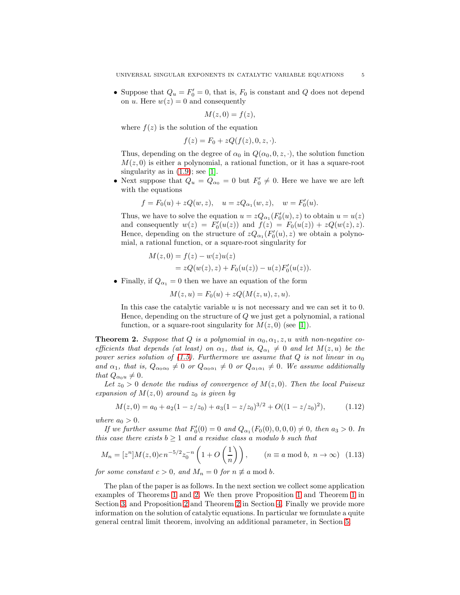• Suppose that  $Q_u = F'_0 = 0$ , that is,  $F_0$  is constant and Q does not depend on u. Here  $w(z) = 0$  and consequently

$$
M(z,0) = f(z),
$$

where  $f(z)$  is the solution of the equation

$$
f(z) = F_0 + zQ(f(z), 0, z, \cdot).
$$

Thus, depending on the degree of  $\alpha_0$  in  $Q(\alpha_0, 0, z, \cdot)$ , the solution function  $M(z, 0)$  is either a polynomial, a rational function, or it has a square-root singularity as in  $(1.9)$ ; see [\[1\]](#page-20-4).

• Next suppose that  $Q_u = Q_{\alpha_0} = 0$  but  $F'_0 \neq 0$ . Here we have we are left with the equations

$$
f = F_0(u) + zQ(w, z),
$$
  $u = zQ_{\alpha_1}(w, z),$   $w = F'_0(u).$ 

Thus, we have to solve the equation  $u = zQ_{\alpha_1}(F'_0(u), z)$  to obtain  $u = u(z)$ and consequently  $w(z) = F'_0(u(z))$  and  $f(z) = F_0(u(z)) + zQ(w(z), z)$ . Hence, depending on the structure of  $zQ_{\alpha_1}(F_0'(u), z)$  we obtain a polynomial, a rational function, or a square-root singularity for

$$
M(z, 0) = f(z) - w(z)u(z)
$$
  
=  $zQ(w(z), z) + F_0(u(z)) - u(z)F'_0(u(z)).$ 

• Finally, if  $Q_{\alpha_1} = 0$  then we have an equation of the form

$$
M(z, u) = F_0(u) + zQ(M(z, u), z, u).
$$

In this case the catalytic variable  $u$  is not necessary and we can set it to 0. Hence, depending on the structure of Q we just get a polynomial, a rational function, or a square-root singularity for  $M(z, 0)$  (see [\[1\]](#page-20-4)).

<span id="page-4-0"></span>**Theorem 2.** Suppose that Q is a polynomial in  $\alpha_0, \alpha_1, z, u$  with non-negative coefficients that depends (at least) on  $\alpha_1$ , that is,  $Q_{\alpha_1} \neq 0$  and let  $M(z, u)$  be the power series solution of [\(1.5\)](#page-1-2). Furthermore we assume that Q is not linear in  $\alpha_0$ and  $\alpha_1$ , that is,  $Q_{\alpha_0\alpha_0} \neq 0$  or  $Q_{\alpha_0\alpha_1} \neq 0$  or  $Q_{\alpha_1\alpha_1} \neq 0$ . We assume additionally that  $Q_{\alpha_0u} \neq 0$ .

Let  $z_0 > 0$  denote the radius of convergence of  $M(z, 0)$ . Then the local Puiseux expansion of  $M(z, 0)$  around  $z_0$  is given by

<span id="page-4-1"></span>
$$
M(z,0) = a_0 + a_2(1 - z/z_0) + a_3(1 - z/z_0)^{3/2} + O((1 - z/z_0)^2), \tag{1.12}
$$

where  $a_0 > 0$ .

If we further assume that  $F_0'(0) = 0$  and  $Q_{\alpha_1}(F_0(0), 0, 0, 0) \neq 0$ , then  $a_3 > 0$ . In this case there exists  $b \ge 1$  and a residue class a modulo b such that

<span id="page-4-2"></span>
$$
M_n = [z^n] M(z, 0) c n^{-5/2} z_0^{-n} \left( 1 + O\left(\frac{1}{n}\right) \right), \qquad (n \equiv a \bmod b, \ n \to \infty) \tag{1.13}
$$

for some constant  $c > 0$ , and  $M_n = 0$  for  $n \not\equiv a \mod b$ .

The plan of the paper is as follows. In the next section we collect some application examples of Theorems [1](#page-3-2) and [2.](#page-4-0) We then prove Proposition [1](#page-2-2) and Theorem [1](#page-3-2) in Section [3,](#page-7-0) and Proposition [2](#page-3-3) and Theorem [2](#page-4-0) in Section [4.](#page-8-0) Finally we provide more information on the solution of catalytic equations. In particular we formulate a quite general central limit theorem, involving an additional parameter, in Section [5.](#page-14-0)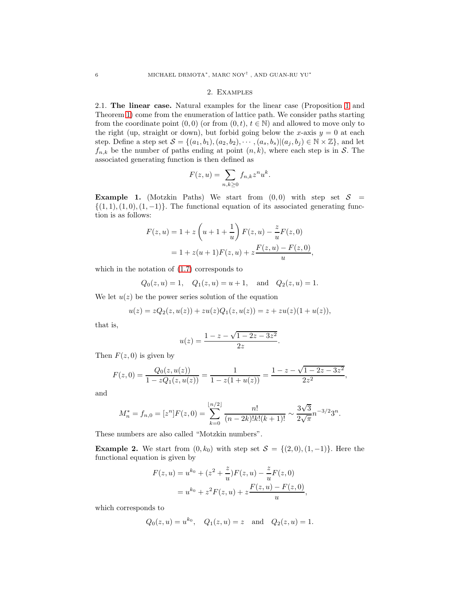# 2. Examples

2.1. The linear case. Natural examples for the linear case (Proposition [1](#page-2-2) and Theorem [1\)](#page-3-2) come from the enumeration of lattice path. We consider paths starting from the coordinate point  $(0, 0)$  (or from  $(0, t)$ ,  $t \in \mathbb{N}$ ) and allowed to move only to the right (up, straight or down), but forbid going below the x-axis  $y = 0$  at each step. Define a step set  $S = \{(a_1, b_1), (a_2, b_2), \cdots, (a_s, b_s) | (a_i, b_j) \in \mathbb{N} \times \mathbb{Z}\}\)$ , and let  $f_{n,k}$  be the number of paths ending at point  $(n, k)$ , where each step is in S. The associated generating function is then defined as

$$
F(z, u) = \sum_{n,k \ge 0} f_{n,k} z^n u^k.
$$

**Example 1.** (Motzkin Paths) We start from  $(0,0)$  with step set  $S =$  $\{(1, 1), (1, 0), (1, -1)\}.$  The functional equation of its associated generating function is as follows:

$$
F(z, u) = 1 + z \left( u + 1 + \frac{1}{u} \right) F(z, u) - \frac{z}{u} F(z, 0)
$$
  
= 1 + z(u + 1)F(z, u) + z \frac{F(z, u) - F(z, 0)}{u},

which in the notation of [\(1.7\)](#page-2-0) corresponds to

$$
Q_0(z, u) = 1
$$
,  $Q_1(z, u) = u + 1$ , and  $Q_2(z, u) = 1$ .

We let  $u(z)$  be the power series solution of the equation

$$
u(z) = zQ_2(z, u(z)) + zu(z)Q_1(z, u(z)) = z + zu(z)(1 + u(z)),
$$

that is,

$$
u(z) = \frac{1 - z - \sqrt{1 - 2z - 3z^2}}{2z}.
$$

Then  $F(z, 0)$  is given by

$$
F(z,0) = \frac{Q_0(z, u(z))}{1 - zQ_1(z, u(z))} = \frac{1}{1 - z(1 + u(z))} = \frac{1 - z - \sqrt{1 - 2z - 3z^2}}{2z^2},
$$

and

$$
M_n^* = f_{n,0} = [z^n]F(z,0) = \sum_{k=0}^{\lfloor n/2 \rfloor} \frac{n!}{(n-2k)!k!(k+1)!} \sim \frac{3\sqrt{3}}{2\sqrt{\pi}} n^{-3/2} 3^n.
$$

These numbers are also called "Motzkin numbers".

**Example 2.** We start from  $(0, k_0)$  with step set  $S = \{(2, 0), (1, -1)\}\.$  Here the functional equation is given by

$$
F(z, u) = u^{k_0} + (z^2 + \frac{z}{u})F(z, u) - \frac{z}{u}F(z, 0)
$$
  
=  $u^{k_0} + z^2 F(z, u) + z \frac{F(z, u) - F(z, 0)}{u},$ 

which corresponds to

$$
Q_0(z, u) = u^{k_0}, \quad Q_1(z, u) = z \quad \text{and} \quad Q_2(z, u) = 1.
$$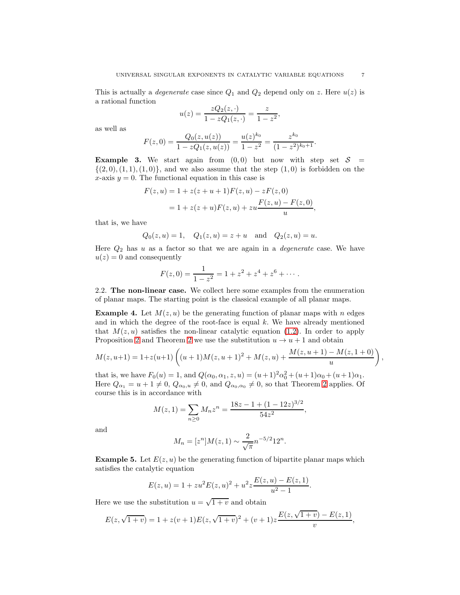This is actually a *degenerate* case since  $Q_1$  and  $Q_2$  depend only on z. Here  $u(z)$  is a rational function

$$
u(z) = \frac{zQ_2(z, \cdot)}{1 - zQ_1(z, \cdot)} = \frac{z}{1 - z^2},
$$

as well as

$$
F(z,0) = \frac{Q_0(z, u(z))}{1 - zQ_1(z, u(z))} = \frac{u(z)^{k_0}}{1 - z^2} = \frac{z^{k_0}}{(1 - z^2)^{k_0 + 1}}.
$$

**Example 3.** We start again from  $(0, 0)$  but now with step set  $S =$  $\{(2,0),(1,1),(1,0)\}\text{, and we also assume that the step (1,0) is forbidden on the }$ x-axis  $y = 0$ . The functional equation in this case is

$$
F(z, u) = 1 + z(z + u + 1)F(z, u) - zF(z, 0)
$$
  
= 1 + z(z + u)F(z, u) + zu  $\frac{F(z, u) - F(z, 0)}{u}$ 

that is, we have

$$
Q_0(z, u) = 1
$$
,  $Q_1(z, u) = z + u$  and  $Q_2(z, u) = u$ .

Here  $Q_2$  has u as a factor so that we are again in a *degenerate* case. We have  $u(z) = 0$  and consequently

$$
F(z,0) = \frac{1}{1-z^2} = 1 + z^2 + z^4 + z^6 + \cdots
$$

2.2. The non-linear case. We collect here some examples from the enumeration of planar maps. The starting point is the classical example of all planar maps.

**Example 4.** Let  $M(z, u)$  be the generating function of planar maps with n edges and in which the degree of the root-face is equal  $k$ . We have already mentioned that  $M(z, u)$  satisfies the non-linear catalytic equation [\(1.2\)](#page-1-0). In order to apply Proposition [2](#page-4-0) and Theorem 2 we use the substitution  $u \to u + 1$  and obtain

$$
M(z, u+1) = 1 + z(u+1) \left( (u+1)M(z, u+1)^2 + M(z, u) + \frac{M(z, u+1) - M(z, 1+0)}{u} \right)
$$

that is, we have  $F_0(u) = 1$ , and  $Q(\alpha_0, \alpha_1, z, u) = (u+1)^2 \alpha_0^2 + (u+1)\alpha_0 + (u+1)\alpha_1$ . Here  $Q_{\alpha_1} = u + 1 \neq 0$ ,  $Q_{\alpha_0, u} \neq 0$ , and  $Q_{\alpha_0, \alpha_0} \neq 0$ , so that Theorem [2](#page-4-0) applies. Of course this is in accordance with

$$
M(z, 1) = \sum_{n \ge 0} M_n z^n = \frac{18z - 1 + (1 - 12z)^{3/2}}{54z^2},
$$

and

$$
M_n = [z^n]M(z, 1) \sim \frac{2}{\sqrt{\pi}} n^{-5/2} 12^n.
$$

**Example 5.** Let  $E(z, u)$  be the generating function of bipartite planar maps which satisfies the catalytic equation

$$
E(z, u) = 1 + zu^{2}E(z, u)^{2} + u^{2}z \frac{E(z, u) - E(z, 1)}{u^{2} - 1}.
$$

Here we use the substitution  $u = \sqrt{1 + v}$  and obtain

$$
E(z, \sqrt{1+v}) = 1 + z(v+1)E(z, \sqrt{1+v})^2 + (v+1)z \frac{E(z, \sqrt{1+v}) - E(z, 1)}{v},
$$

,

,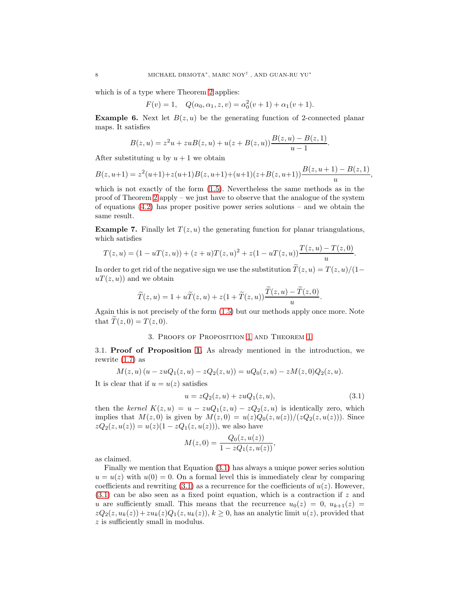which is of a type where Theorem [2](#page-4-0) applies:

$$
F(v) = 1, \quad Q(\alpha_0, \alpha_1, z, v) = \alpha_0^2(v + 1) + \alpha_1(v + 1).
$$

**Example 6.** Next let  $B(z, u)$  be the generating function of 2-connected planar maps. It satisfies

$$
B(z, u) = z2u + zuB(z, u) + u(z + B(z, u))\frac{B(z, u) - B(z, 1)}{u - 1}.
$$

After substituting u by  $u + 1$  we obtain

$$
B(z, u+1) = z2(u+1) + z(u+1)B(z, u+1) + (u+1)(z+B(z, u+1))\frac{B(z, u+1) - B(z, 1)}{u}
$$

,

which is not exactly of the form [\(1.5\)](#page-1-2). Nevertheless the same methods as in the proof of Theorem [2](#page-4-0) apply – we just have to observe that the analogue of the system of equations  $(4.2)$  has proper positive power series solutions – and we obtain the same result.

**Example 7.** Finally let  $T(z, u)$  the generating function for planar triangulations, which satisfies

$$
T(z, u) = (1 - uT(z, u)) + (z + u)T(z, u)^{2} + z(1 - uT(z, u))\frac{T(z, u) - T(z, 0)}{u}.
$$

In order to get rid of the negative sign we use the substitution  $\tilde{T}(z, u) = T(z, u)/(1-\epsilon)$  $u(x, u)$  and we obtain

$$
\widetilde{T}(z,u) = 1 + u\widetilde{T}(z,u) + z(1 + \widetilde{T}(z,u))\frac{\widetilde{T}(z,u) - \widetilde{T}(z,0)}{u}.
$$

<span id="page-7-0"></span>Again this is not precisely of the form [\(1.5\)](#page-1-2) but our methods apply once more. Note that  $\widetilde{T}(z, 0) = T(z, 0)$ .

# 3. Proofs of Proposition [1](#page-2-2) and Theorem [1](#page-3-2)

3.1. Proof of Proposition [1.](#page-2-2) As already mentioned in the introduction, we rewrite  $(1.7)$  as

$$
M(z, u) (u - zuQ1(z, u) - zQ2(z, u)) = uQ0(z, u) - zM(z, 0)Q2(z, u).
$$

It is clear that if  $u = u(z)$  satisfies

<span id="page-7-1"></span>
$$
u = zQ_2(z, u) + zuQ_1(z, u), \tag{3.1}
$$

then the kernel  $K(z, u) = u - zuQ_1(z, u) - zQ_2(z, u)$  is identically zero, which implies that  $M(z, 0)$  is given by  $M(z, 0) = u(z)Q_0(z, u(z))/(zQ_2(z, u(z))).$  Since  $zQ_2(z, u(z)) = u(z)(1 - zQ_1(z, u(z))),$  we also have

$$
M(z,0) = \frac{Q_0(z, u(z))}{1 - zQ_1(z, u(z))},
$$

as claimed.

Finally we mention that Equation [\(3.1\)](#page-7-1) has always a unique power series solution  $u = u(z)$  with  $u(0) = 0$ . On a formal level this is immediately clear by comparing coefficients and rewriting  $(3.1)$  as a recurrence for the coefficients of  $u(z)$ . However, [\(3.1\)](#page-7-1) can be also seen as a fixed point equation, which is a contraction if z and u are sufficiently small. This means that the recurrence  $u_0(z) = 0$ ,  $u_{k+1}(z) =$  $zQ_2(z, u_k(z)) + zu_k(z)Q_1(z, u_k(z)), k \ge 0$ , has an analytic limit  $u(z)$ , provided that z is sufficiently small in modulus.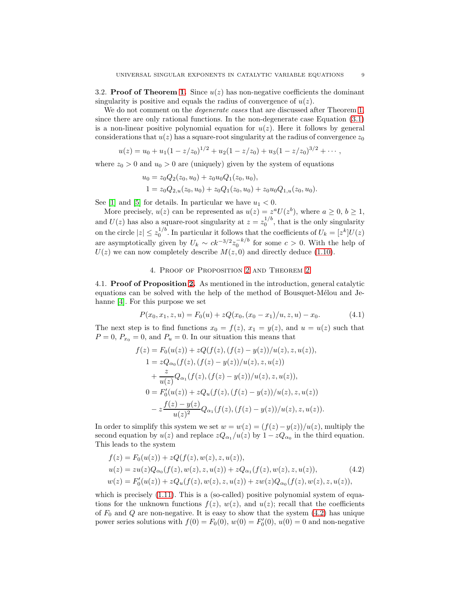3.2. **Proof of Theorem [1.](#page-3-2)** Since  $u(z)$  has non-negative coefficients the dominant singularity is positive and equals the radius of convergence of  $u(z)$ .

We do not comment on the *degenerate cases* that are discussed after Theorem [1,](#page-3-2) since there are only rational functions. In the non-degenerate case Equation [\(3.1\)](#page-7-1) is a non-linear positive polynomial equation for  $u(z)$ . Here it follows by general considerations that  $u(z)$  has a square-root singularity at the radius of convergence  $z_0$ 

$$
u(z) = u_0 + u_1(1 - z/z_0)^{1/2} + u_2(1 - z/z_0) + u_3(1 - z/z_0)^{3/2} + \cdots,
$$

where  $z_0 > 0$  and  $u_0 > 0$  are (uniquely) given by the system of equations

$$
u_0 = z_0 Q_2(z_0, u_0) + z_0 u_0 Q_1(z_0, u_0),
$$
  
\n
$$
1 = z_0 Q_{2,u}(z_0, u_0) + z_0 Q_1(z_0, u_0) + z_0 u_0 Q_{1,u}(z_0, u_0).
$$

See [\[1\]](#page-20-4) and [\[5\]](#page-20-5) for details. In particular we have  $u_1 < 0$ .

More precisely,  $u(z)$  can be represented as  $u(z) = z^a U(z^b)$ , where  $a \geq 0, b \geq 1$ , and  $U(z)$  has also a square-root singularity at  $z = z_0^{1/b}$ , that is the only singularity on the circle  $|z| \leq z_0^{1/b}$ . In particular it follows that the coefficients of  $U_k = [z^k]U(z)$ are asymptotically given by  $U_k \sim ck^{-3/2} z_0^{-k/b}$  for some  $c > 0$ . With the help of  $U(z)$  we can now completely describe  $M(z, 0)$  and directly deduce [\(1.10\)](#page-3-4).

## 4. Proof of Proposition [2](#page-3-3) and Theorem [2](#page-4-0)

<span id="page-8-0"></span>4.1. Proof of Proposition [2.](#page-3-3) As mentioned in the introduction, general catalytic equations can be solved with the help of the method of Bousquet-Mélou and Jehanne [\[4\]](#page-20-2). For this purpose we set

<span id="page-8-2"></span>
$$
P(x_0, x_1, z, u) = F_0(u) + zQ(x_0, (x_0 - x_1)/u, z, u) - x_0.
$$
\n(4.1)

The next step is to find functions  $x_0 = f(z)$ ,  $x_1 = y(z)$ , and  $u = u(z)$  such that  $P = 0, P_{x_0} = 0$ , and  $P_u = 0$ . In our situation this means that

$$
f(z) = F_0(u(z)) + zQ(f(z), (f(z) - y(z))/u(z), z, u(z)),
$$
  
\n
$$
1 = zQ_{\alpha_0}(f(z), (f(z) - y(z))/u(z), z, u(z))
$$
  
\n
$$
+ \frac{z}{u(z)}Q_{\alpha_1}(f(z), (f(z) - y(z))/u(z), z, u(z)),
$$
  
\n
$$
0 = F'_0(u(z)) + zQ_u(f(z), (f(z) - y(z))/u(z), z, u(z))
$$
  
\n
$$
- z\frac{f(z) - y(z)}{u(z)^2}Q_{\alpha_1}(f(z), (f(z) - y(z))/u(z), z, u(z)).
$$

In order to simplify this system we set  $w = w(z) = (f(z) - y(z)) / u(z)$ , multiply the second equation by  $u(z)$  and replace  $zQ_{\alpha_1}/u(z)$  by  $1 - zQ_{\alpha_0}$  in the third equation. This leads to the system

<span id="page-8-1"></span>
$$
f(z) = F_0(u(z)) + zQ(f(z), w(z), z, u(z)),
$$
  
\n
$$
u(z) = zu(z)Q_{\alpha_0}(f(z), w(z), z, u(z)) + zQ_{\alpha_1}(f(z), w(z), z, u(z)),
$$
  
\n
$$
w(z) = F'_0(u(z)) + zQ_u(f(z), w(z), z, u(z)) + zw(z)Q_{\alpha_0}(f(z), w(z), z, u(z)),
$$
\n(4.2)

which is precisely  $(1.11)$ . This is a (so-called) positive polynomial system of equations for the unknown functions  $f(z)$ ,  $w(z)$ , and  $u(z)$ ; recall that the coefficients of  $F_0$  and Q are non-negative. It is easy to show that the system  $(4.2)$  has unique power series solutions with  $f(0) = F_0(0)$ ,  $w(0) = F'_0(0)$ ,  $u(0) = 0$  and non-negative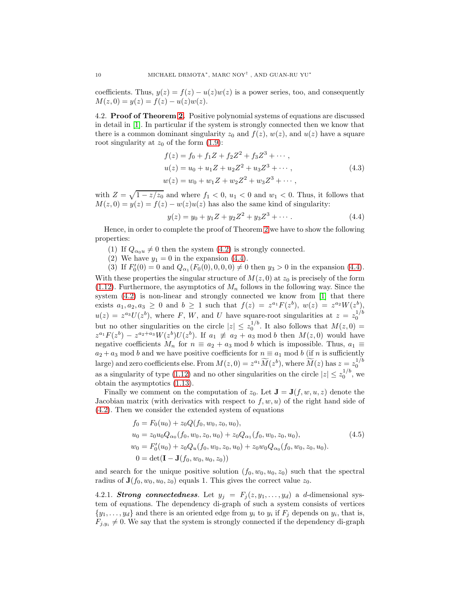coefficients. Thus,  $y(z) = f(z) - u(z)w(z)$  is a power series, too, and consequently  $M(z, 0) = y(z) = f(z) - u(z)w(z).$ 

4.2. Proof of Theorem [2.](#page-4-0) Positive polynomial systems of equations are discussed in detail in [\[1\]](#page-20-4). In particular if the system is strongly connected then we know that there is a common dominant singularity  $z_0$  and  $f(z)$ ,  $w(z)$ , and  $u(z)$  have a square root singularity at  $z_0$  of the form  $(1.9)$ :

<span id="page-9-2"></span>
$$
f(z) = f_0 + f_1 Z + f_2 Z^2 + f_3 Z^3 + \cdots,
$$
  
\n
$$
u(z) = u_0 + u_1 Z + u_2 Z^2 + u_3 Z^3 + \cdots,
$$
  
\n
$$
w(z) = w_0 + w_1 Z + w_2 Z^2 + w_3 Z^3 + \cdots,
$$
\n(4.3)

with  $Z = \sqrt{1 - z/z_0}$  and where  $f_1 < 0$ ,  $u_1 < 0$  and  $w_1 < 0$ . Thus, it follows that  $M(z, 0) = y(z) = f(z) - w(z)u(z)$  has also the same kind of singularity:

<span id="page-9-0"></span>
$$
y(z) = y_0 + y_1 Z + y_2 Z^2 + y_3 Z^3 + \cdots
$$
 (4.4)

Hence, in order to complete the proof of Theorem [2](#page-4-0) we have to show the following properties:

- (1) If  $Q_{\alpha_0 u} \neq 0$  then the system [\(4.2\)](#page-8-1) is strongly connected.
- (2) We have  $y_1 = 0$  in the expansion [\(4.4\)](#page-9-0).

(3) If  $F_0'(0) = 0$  and  $Q_{\alpha_1}(F_0(0), 0, 0, 0) \neq 0$  then  $y_3 > 0$  in the expansion [\(4.4\)](#page-9-0). With these properties the singular structure of  $M(z, 0)$  at  $z_0$  is precisely of the form  $(1.12)$ . Furthermore, the asymptotics of  $M_n$  follows in the following way. Since the system [\(4.2\)](#page-8-1) is non-linear and strongly connected we know from [\[1\]](#page-20-4) that there exists  $a_1, a_2, a_3 \geq 0$  and  $b \geq 1$  such that  $f(z) = z^{a_1} F(z^b), w(z) = z^{a_2} W(z^b)$  $u(z) = z^{a_3}U(z^b)$ , where F, W, and U have square-root singularities at  $z = z_0^{1/b}$ but no other singularities on the circle  $|z| \leq z_0^{1/b}$ . It also follows that  $M(z, 0) =$  $z^{a_1}F(z^b) - z^{a_2+a_3}W(z^b)U(z^b)$ . If  $a_1 \not\equiv a_2 + a_3 \mod b$  then  $M(z, 0)$  would have negative coefficients  $M_n$  for  $n \equiv a_2 + a_3 \mod b$  which is impossible. Thus,  $a_1 \equiv a_2 + a_3 \mod b$  $a_2 + a_3$  mod b and we have positive coefficients for  $n \equiv a_1 \mod b$  (if n is sufficiently large) and zero coefficients else. From  $M(z, 0) = z^{a_1} \widetilde{M}(z^b)$ , where  $\widetilde{M}(z)$  has  $z = z_0^{1/b}$ as a singularity of type [\(1.12\)](#page-4-1) and no other singularities on the circle  $|z| \leq z_0^{1/b}$ , we obtain the asymptotics [\(1.13\)](#page-4-2).

Finally we comment on the computation of  $z_0$ . Let  $\mathbf{J} = \mathbf{J}(f, w, u, z)$  denote the Jacobian matrix (with derivatics with respect to  $f, w, u$ ) of the right hand side of [\(4.2\)](#page-8-1). Then we consider the extended system of equations

<span id="page-9-1"></span>
$$
f_0 = F_0(u_0) + z_0 Q(f_0, w_0, z_0, u_0),
$$
  
\n
$$
u_0 = z_0 u_0 Q_{\alpha_0}(f_0, w_0, z_0, u_0) + z_0 Q_{\alpha_1}(f_0, w_0, z_0, u_0),
$$
  
\n
$$
w_0 = F'_0(u_0) + z_0 Q_u(f_0, w_0, z_0, u_0) + z_0 w_0 Q_{\alpha_0}(f_0, w_0, z_0, u_0).
$$
  
\n
$$
0 = \det(\mathbf{I} - \mathbf{J}(f_0, w_0, u_0, z_0))
$$
\n(4.5)

and search for the unique positive solution  $(f_0, w_0, u_0, z_0)$  such that the spectral radius of  $\mathbf{J}(f_0, w_0, u_0, z_0)$  equals 1. This gives the correct value  $z_0$ .

4.2.1. Strong connectedness. Let  $y_j = F_j(z, y_1, \ldots, y_d)$  a d-dimensional system of equations. The dependency di-graph of such a system consists of vertices  $\{y_1, \ldots, y_d\}$  and there is an oriented edge from  $y_i$  to  $y_i$  if  $F_j$  depends on  $y_i$ , that is,  $F_{j,y_i} \neq 0$ . We say that the system is strongly connected if the dependency di-graph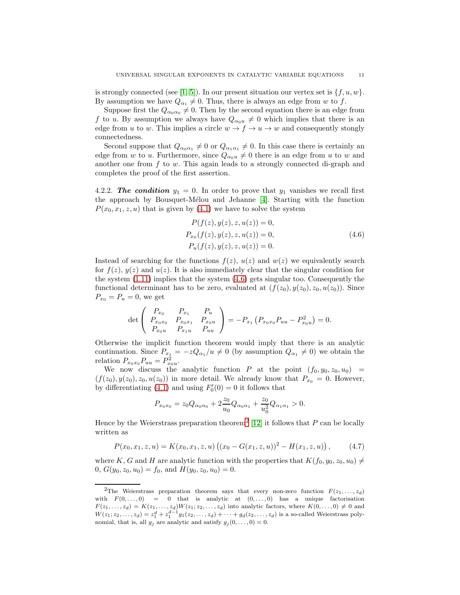is strongly connected (see [\[1,](#page-20-4) [5\]](#page-20-5)). In our present situation our vertex set is  $\{f, u, w\}$ . By assumption we have  $Q_{\alpha_1} \neq 0$ . Thus, there is always an edge from w to f.

Suppose first the  $Q_{\alpha_0\alpha_0}\neq 0$ . Then by the second equation there is an edge from f to u. By assumption we always have  $Q_{\alpha_0u} \neq 0$  which implies that there is an edge from u to w. This implies a circle  $w \to f \to u \to w$  and consequently stongly connectedness.

Second suppose that  $Q_{\alpha_0\alpha_1} \neq 0$  or  $Q_{\alpha_1\alpha_1} \neq 0$ . In this case there is certainly an edge from w to u. Furthermore, since  $Q_{\alpha_0 u} \neq 0$  there is an edge from u to w and another one from  $f$  to  $w$ . This again leads to a strongly connected di-graph and completes the proof of the first assertion.

4.2.2. The condition  $y_1 = 0$ . In order to prove that  $y_1$  vanishes we recall first the approach by Bousquet-Mélou and Jehanne  $[4]$ . Starting with the function  $P(x_0, x_1, z, u)$  that is given by [\(4.1\)](#page-8-2) we have to solve the system

$$
P(f(z), y(z), z, u(z)) = 0,P_{x_0}(f(z), y(z), z, u(z)) = 0,P_u(f(z), y(z), z, u(z)) = 0.
$$
\n(4.6)

Instead of searching for the functions  $f(z)$ ,  $u(z)$  and  $w(z)$  we equivalently search for  $f(z)$ ,  $y(z)$  and  $u(z)$ . It is also immediately clear that the singular condition for the system  $(1.11)$  implies that the system  $(4.6)$  gets singular too. Consequently the functional determinant has to be zero, evaluated at  $(f(z_0), y(z_0), z_0, u(z_0))$ . Since  $P_{x_0} = P_u = 0$ , we get

$$
\det \left( \begin{array}{ccc} P_{x_0} & P_{x_1} & P_u \\ P_{x_0x_0} & P_{x_0x_1} & P_{x_0u} \\ P_{x_0u} & P_{x_1u} & P_{uu} \end{array} \right) = -P_{x_1} \left( P_{x_0x_0} P_{uu} - P_{x_0u}^2 \right) = 0.
$$

Otherwise the implicit function theorem would imply that there is an analytic continuation. Since  $P_{x_1} = -zQ_{\alpha_1}/u \neq 0$  (by assumption  $Q_{\alpha_1} \neq 0$ ) we obtain the relation  $P_{x_0x_0}P_{uu} = P_{x_0u}^2$ .

We now discuss the analytic function P at the point  $(f_0, y_0, z_0, u_0)$  =  $(f(z_0), y(z_0), z_0, u(z_0))$  in more detail. We already know that  $P_{x_0} = 0$ . However, by differentiating [\(4.1\)](#page-8-2) and using  $F'_{0}(0) = 0$  it follows that

$$
P_{x_0x_0} = z_0 Q_{\alpha_0 \alpha_0} + 2 \frac{z_0}{u_0} Q_{\alpha_0 \alpha_1} + \frac{z_0}{u_0^2} Q_{\alpha_1 \alpha_1} > 0.
$$

Hence by the Weierstrass preparation theorem<sup>[2](#page-10-1)</sup> [\[12\]](#page-20-6) it follows that  $P$  can be locally written as

$$
P(x_0, x_1, z, u) = K(x_0, x_1, z, u) ((x_0 - G(x_1, z, u))^2 - H(x_1, z, u)), \qquad (4.7)
$$

where K, G and H are analytic function with the properties that  $K(f_0, y_0, z_0, u_0) \neq$ 0,  $G(y_0, z_0, u_0) = f_0$ , and  $H(y_0, z_0, u_0) = 0$ .

<span id="page-10-0"></span>

<span id="page-10-1"></span><sup>&</sup>lt;sup>2</sup>The Weierstrass preparation theorem says that every non-zero function  $F(z_1, \ldots, z_d)$ with  $F(0, \ldots, 0) = 0$  that is analytic at  $(0, \ldots, 0)$  has a unique factorisation  $F(z_1, \ldots, z_d) = K(z_1, \ldots, z_d)W(z_1, z_2, \ldots, z_d)$  into analytic factors, where  $K(0, \ldots, 0) \neq 0$  and  $W(z_1, z_2, \ldots, z_d) = z_1^d + z_1^{d-1} g_1(z_2, \ldots, z_d) + \cdots + g_d(z_2, \ldots, z_d)$  is a so-called Weierstrass polynomial, that is, all  $g_j$  are analytic and satisfy  $g_j (0, \ldots, 0) = 0$ .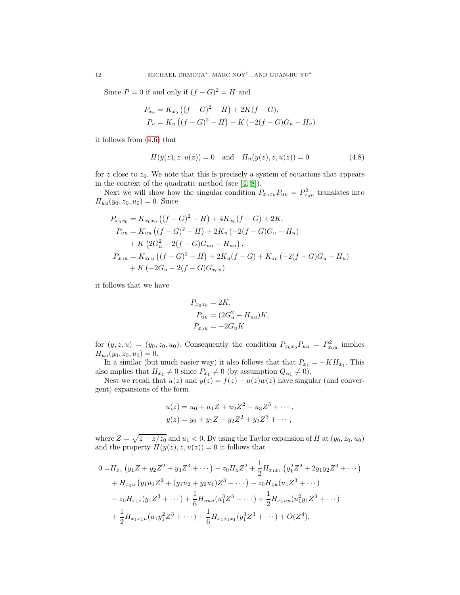Since  $P = 0$  if and only if  $(f - G)^2 = H$  and

$$
P_{x_0} = K_{x_0} ((f - G)^2 - H) + 2K(f - G),
$$
  
\n
$$
P_u = K_u ((f - G)^2 - H) + K (-2(f - G)G_u - H_u)
$$

it follows from [\(4.6\)](#page-10-0) that

$$
H(y(z), z, u(z)) = 0 \text{ and } H_u(y(z), z, u(z)) = 0
$$
\n(4.8)

for z close to  $z<sub>0</sub>$ . We note that this is precisely a system of equations that appears in the context of the quadratic method (see [\[4,](#page-20-2) [8\]](#page-20-7)).

Next we will show how the singular condition  $P_{x_0x_0}P_{uu} = P_{x_0u}^2$  translates into  $H_{uu}(y_0, z_0, u_0) = 0.$  Since

$$
P_{x_0x_0} = K_{x_0x_0} ((f - G)^2 - H) + 4K_{x_0}(f - G) + 2K,
$$
  
\n
$$
P_{uu} = K_{uu} ((f - G)^2 - H) + 2K_u (-2(f - G)G_u - H_u)
$$
  
\n
$$
+ K (2G_u^2 - 2(f - G)G_{uu} - H_{uu}),
$$
  
\n
$$
P_{x_0u} = K_{x_0u} ((f - G)^2 - H) + 2K_u(f - G) + K_{x_0} (-2(f - G)G_u - H_u)
$$
  
\n
$$
+ K (-2G_u - 2(f - G)G_{x_0u})
$$

it follows that we have

$$
P_{x_0x_0} = 2K,
$$
  
\n
$$
P_{uu} = (2G_u^2 - H_{uu})K,
$$
  
\n
$$
P_{x_0u} = -2G_uK
$$

for  $(y, z, u) = (y_0, z_0, u_0)$ . Consequently the condition  $P_{x_0x_0}P_{uu} = P_{x_0u}^2$  implies  $H_{uu}(y_0, z_0, u_0) = 0.$ 

In a similar (but much easier way) it also follows that that  $P_{x_1} = -KH_{x_1}$ . This also implies that  $H_{x_1} \neq 0$  since  $P_{x_1} \neq 0$  (by assumption  $Q_{\alpha_1} \neq 0$ ).

Nest we recall that  $u(z)$  and  $y(z) = f(z) - u(z)w(z)$  have singular (and convergent) expansions of the form

$$
u(z) = u_0 + u_1 Z + u_2 Z^2 + u_3 Z^3 + \cdots,
$$
  

$$
y(z) = y_0 + y_1 Z + y_2 Z^2 + y_3 Z^3 + \cdots,
$$

where  $Z = \sqrt{1 - z/z_0}$  and  $u_1 < 0$ . By using the Taylor expansion of H at  $(y_0, z_0, u_0)$ and the property  $H(y(z), z, u(z)) = 0$  it follows that

$$
0 = H_{x_1} (y_1 Z + y_2 Z^2 + y_3 Z^3 + \cdots) - z_0 H_z Z^2 + \frac{1}{2} H_{x_1 x_1} (y_1^2 Z^2 + 2 y_1 y_2 Z^3 + \cdots)
$$
  
+  $H_{x_1 u} (y_1 u_1 Z^2 + (y_1 u_2 + y_2 u_1) Z^3 + \cdots) - z_0 H_{z u} (u_1 Z^3 + \cdots)$   
-  $z_0 H_{x_1 z} (y_1 Z^3 + \cdots) + \frac{1}{6} H_{uuu} (u_1^3 Z^3 + \cdots) + \frac{1}{2} H_{x_1 uu} (u_1^2 y_1 Z^3 + \cdots)$   
+  $\frac{1}{2} H_{x_1 x_1 u} (u_1 y_1^2 Z^3 + \cdots) + \frac{1}{6} H_{x_1 x_1 x_1} (y_1^3 Z^3 + \cdots) + O(Z^4).$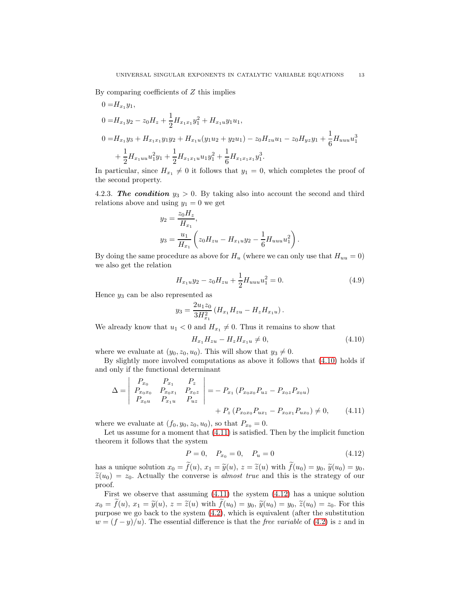By comparing coefficients of  $Z$  this implies

$$
0 = H_{x_1}y_1,
$$
  
\n
$$
0 = H_{x_1}y_2 - z_0H_z + \frac{1}{2}H_{x_1x_1}y_1^2 + H_{x_1u}y_1u_1,
$$
  
\n
$$
0 = H_{x_1}y_3 + H_{x_1x_1}y_1y_2 + H_{x_1u}(y_1u_2 + y_2u_1) - z_0H_{zu}u_1 - z_0H_{yz}y_1 + \frac{1}{6}H_{uuu}u_1^3
$$
  
\n
$$
+ \frac{1}{2}H_{x_1uu}u_1^2y_1 + \frac{1}{2}H_{x_1x_1u}u_1y_1^2 + \frac{1}{6}H_{x_1x_1x_1}y_1^3.
$$

In particular, since  $H_{x_1} \neq 0$  it follows that  $y_1 = 0$ , which completes the proof of the second property.

4.2.3. The condition  $y_3 > 0$ . By taking also into account the second and third relations above and using  $y_1 = 0$  we get

$$
y_2 = \frac{z_0 H_z}{H_{x_1}},
$$
  

$$
y_3 = \frac{u_1}{H_{x_1}} \left( z_0 H_{zu} - H_{x_1 u} y_2 - \frac{1}{6} H_{uuu} u_1^2 \right).
$$

By doing the same procedure as above for  $H_u$  (where we can only use that  $H_{uu} = 0$ ) we also get the relation

$$
H_{x_1u}y_2 - z_0H_{zu} + \frac{1}{2}H_{uuu}u_1^2 = 0.
$$
\n(4.9)

Hence  $y_3$  can be also represented as

$$
y_3 = \frac{2u_1z_0}{3H_{x_1}^2} (H_{x_1}H_{zu} - H_zH_{x_1u}).
$$

We already know that  $u_1 < 0$  and  $H_{x_1} \neq 0$ . Thus it remains to show that

<span id="page-12-3"></span><span id="page-12-0"></span>
$$
H_{x_1}H_{zu} - H_zH_{x_1} \neq 0,\t\t(4.10)
$$

where we evaluate at  $(y_0, z_0, u_0)$ . This will show that  $y_3 \neq 0$ .

By slightly more involved computations as above it follows that [\(4.10\)](#page-12-0) holds if and only if the functional determinant

$$
\Delta = \begin{vmatrix} P_{x_0} & P_{x_1} & P_z \\ P_{x_0x_0} & P_{x_0x_1} & P_{x_0z} \\ P_{x_0u} & P_{x_1u} & P_{uz} \end{vmatrix} = - P_{x_1} (P_{x_0x_0} P_{uz} - P_{x_0z} P_{x_0u}) + P_z (P_{x_0x_0} P_{ux_1} - P_{x_0x_1} P_{ux_0}) \neq 0, \quad (4.11)
$$

where we evaluate at  $(f_0, y_0, z_0, u_0)$ , so that  $P_{x_0} = 0$ .

Let us assume for a moment that [\(4.11\)](#page-12-1) is satisfied. Then by the implicit function theorem it follows that the system

<span id="page-12-2"></span><span id="page-12-1"></span>
$$
P = 0, \quad P_{x_0} = 0, \quad P_u = 0 \tag{4.12}
$$

has a unique solution  $x_0 = \tilde{f}(u)$ ,  $x_1 = \tilde{y}(u)$ ,  $z = \tilde{z}(u)$  with  $\tilde{f}(u_0) = y_0$ ,  $\tilde{y}(u_0) = y_0$ ,  $\tilde{z}(u_0) = z_0$ . Actually the converse is *almost true* and this is the strategy of our proof.

First we observe that assuming [\(4.11\)](#page-12-1) the system [\(4.12\)](#page-12-2) has a unique solution  $x_0 = \tilde{f}(u)$ ,  $x_1 = \tilde{y}(u)$ ,  $z = \tilde{z}(u)$  with  $\tilde{f}(u_0) = y_0$ ,  $\tilde{y}(u_0) = y_0$ ,  $\tilde{z}(u_0) = z_0$ . For this purpose we go back to the system [\(4.2\)](#page-8-1), which is equivalent (after the substitution  $w = (f - y)/u$ ). The essential difference is that the *free variable* of [\(4.2\)](#page-8-1) is z and in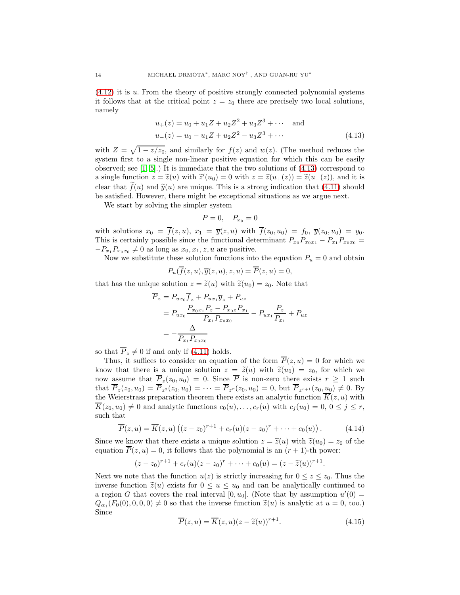[\(4.12\)](#page-12-2) it is u. From the theory of positive strongly connected polynomial systems it follows that at the critical point  $z = z_0$  there are precisely two local solutions, namely

$$
u_{+}(z) = u_{0} + u_{1}Z + u_{2}Z^{2} + u_{3}Z^{3} + \cdots \quad \text{and}
$$
  

$$
u_{-}(z) = u_{0} - u_{1}Z + u_{2}Z^{2} - u_{3}Z^{3} + \cdots
$$
 (4.13)

with  $Z = \sqrt{1 - z/z_0}$ , and similarly for  $f(z)$  and  $w(z)$ . (The method reduces the system first to a single non-linear positive equation for which this can be easily observed; see  $[1, 5]$  $[1, 5]$ .) It is immediate that the two solutions of  $(4.13)$  correspond to a single function  $z = \tilde{z}(u)$  with  $\tilde{z}'(u_0) = 0$  with  $z = \tilde{z}(u_+(z)) = \tilde{z}(u_-(z))$ , and it is clear that  $\tilde{f}(u)$  and  $\tilde{y}(u)$  are unique. This is a strong indication that [\(4.11\)](#page-12-1) should be satisfied. However, there might be exceptional situations as we argue next.

We start by solving the simpler system

<span id="page-13-0"></span>
$$
P=0, \quad P_{x_0}=0
$$

with solutions  $x_0 = \overline{f}(z, u), x_1 = \overline{y}(z, u)$  with  $\overline{f}(z_0, u_0) = f_0, \overline{y}(z_0, u_0) = y_0$ . This is certainly possible since the functional determinant  $P_{x_0}P_{x_0x_1} - P_{x_1}P_{x_0x_0} =$  $-P_{x_1}P_{x_0x_0} \neq 0$  as long as  $x_0, x_1, z, u$  are positive.

Now we substitute these solution functions into the equation  $P_u = 0$  and obtain

$$
P_u(\overline{f}(z, u), \overline{y}(z, u), z, u) = \overline{P}(z, u) = 0,
$$

that has the unique solution  $z = \tilde{z}(u)$  with  $\tilde{z}(u_0) = z_0$ . Note that

$$
\overline{P}_z = P_{ux_0} \overline{f}_z + P_{ux_1} \overline{y}_z + P_{uz} \n= P_{ux_0} \frac{P_{x_0x_1} P_z - P_{x_0z} P_{x_1}}{P_{x_1} P_{x_0x_0}} - P_{ux_1} \frac{P_z}{P_{x_1}} + P_{uz} \n= -\frac{\Delta}{P_{x_1} P_{x_0x_0}}
$$

so that  $\overline{P}_z \neq 0$  if and only if [\(4.11\)](#page-12-1) holds.

Thus, it suffices to consider an equation of the form  $\overline{P}(z, u) = 0$  for which we know that there is a unique solution  $z = \tilde{z}(u)$  with  $\tilde{z}(u_0) = z_0$ , for which we now assume that  $P_z(z_0, u_0) = 0$ . Since P is non-zero there exists  $r \ge 1$  such that  $P_z(z_0, u_0) = P_{z^2}(z_0, u_0) = \cdots = P_{z^r}(z_0, u_0) = 0$ , but  $P_{z^{r+1}}(z_0, u_0) \neq 0$ . By the Weierstrass preparation theorem there exists an analytic function  $\overline{K}(z, u)$  with  $\overline{K}(z_0, u_0) \neq 0$  and analytic functions  $c_0(u), \ldots, c_r(u)$  with  $c_i(u_0) = 0, 0 \leq j \leq r$ , such that

$$
\overline{P}(z, u) = \overline{K}(z, u) ((z - z_0)^{r+1} + c_r(u)(z - z_0)^r + \dots + c_0(u)).
$$
\n(4.14)

Since we know that there exists a unique solution  $z = \tilde{z}(u)$  with  $\tilde{z}(u_0) = z_0$  of the equation  $\overline{P}(z, u) = 0$ , it follows that the polynomial is an  $(r + 1)$ -th power:

$$
(z-z_0)^{r+1}+c_r(u)(z-z_0)^r+\cdots+c_0(u)=(z-\widetilde{z}(u))^{r+1}.
$$

Next we note that the function  $u(z)$  is strictly increasing for  $0 \leq z \leq z_0$ . Thus the inverse function  $\tilde{z}(u)$  exists for  $0 \leq u \leq u_0$  and can be analytically continued to a region G that covers the real interval  $[0, u_0]$ . (Note that by assumption  $u'(0) =$  $Q_{\alpha_1}(F_0(0), 0, 0, 0) \neq 0$  so that the inverse function  $\tilde{z}(u)$  is analytic at  $u = 0$ , too.) Since

$$
\overline{P}(z, u) = \overline{K}(z, u)(z - \tilde{z}(u))^{r+1}.
$$
\n(4.15)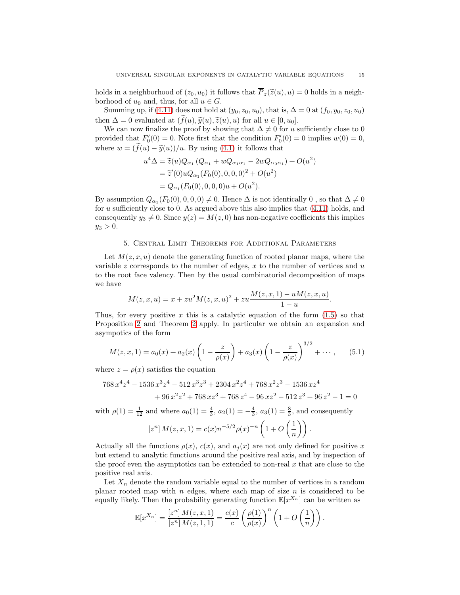holds in a neighborhood of  $(z_0, u_0)$  it follows that  $\overline{P}_z(\tilde{z}(u), u) = 0$  holds in a neighborhood of  $u_0$  and, thus, for all  $u \in G$ .

Summing up, if [\(4.11\)](#page-12-1) does not hold at  $(y_0, z_0, u_0)$ , that is,  $\Delta = 0$  at  $(f_0, y_0, z_0, u_0)$ then  $\Delta = 0$  evaluated at  $(\tilde{f}(u), \tilde{y}(u), \tilde{z}(u), u)$  for all  $u \in [0, u_0]$ .

We can now finalize the proof by showing that  $\Delta \neq 0$  for u sufficiently close to 0 provided that  $F'_0(0) = 0$ . Note first that the condition  $F'_0(0) = 0$  implies  $w(0) = 0$ , where  $w = (\tilde{f}(u) - \tilde{y}(u))/u$ . By using [\(4.1\)](#page-8-2) it follows that

$$
u^{4}\Delta = \tilde{z}(u)Q_{\alpha_{1}}(Q_{\alpha_{1}} + wQ_{\alpha_{1}\alpha_{1}} - 2wQ_{\alpha_{0}\alpha_{1}}) + O(u^{2})
$$
  
=  $\tilde{z}'(0)uQ_{\alpha_{1}}(F_{0}(0), 0, 0, 0)^{2} + O(u^{2})$   
=  $Q_{\alpha_{1}}(F_{0}(0), 0, 0, 0)u + O(u^{2}).$ 

By assumption  $Q_{\alpha_1}(F_0(0), 0, 0, 0) \neq 0$ . Hence  $\Delta$  is not identically 0, so that  $\Delta \neq 0$ for  $u$  sufficiently close to 0. As argued above this also implies that  $(4.11)$  holds, and consequently  $y_3 \neq 0$ . Since  $y(z) = M(z, 0)$  has non-negative coefficients this implies  $y_3 > 0.$ 

# 5. Central Limit Theorems for Additional Parameters

<span id="page-14-0"></span>Let  $M(z, x, u)$  denote the generating function of rooted planar maps, where the variable z corresponds to the number of edges, x to the number of vertices and  $u$ to the root face valency. Then by the usual combinatorial decomposition of maps we have

$$
M(z, x, u) = x + zu2M(z, x, u)2 + zu  $\frac{M(z, x, 1) - uM(z, x, u)}{1 - u}$ .
$$

Thus, for every positive x this is a catalytic equation of the form  $(1.5)$  so that Proposition [2](#page-3-3) and Theorem [2](#page-4-0) apply. In particular we obtain an expansion and asympotics of the form

<span id="page-14-1"></span>
$$
M(z, x, 1) = a_0(x) + a_2(x) \left(1 - \frac{z}{\rho(x)}\right) + a_3(x) \left(1 - \frac{z}{\rho(x)}\right)^{3/2} + \cdots, \quad (5.1)
$$

where  $z = \rho(x)$  satisfies the equation

$$
768 x4 z4 - 1536 x3 z4 - 512 x3 z3 + 2304 x2 z4 + 768 x2 z3 - 1536 x z4+ 96 x2 z2 + 768 x z3 + 768 z4 - 96 x z2 - 512 z3 + 96 z2 - 1 = 0
$$

with  $\rho(1) = \frac{1}{12}$  and where  $a_0(1) = \frac{4}{3}$ ,  $a_2(1) = -\frac{4}{3}$ ,  $a_3(1) = \frac{8}{3}$ , and consequently

$$
[z^{n}] M(z, x, 1) = c(x) n^{-5/2} \rho(x)^{-n} \left( 1 + O\left(\frac{1}{n}\right) \right).
$$

Actually all the functions  $\rho(x)$ ,  $c(x)$ , and  $a_i(x)$  are not only defined for positive x but extend to analytic functions around the positive real axis, and by inspection of the proof even the asymptotics can be extended to non-real  $x$  that are close to the positive real axis.

Let  $X_n$  denote the random variable equal to the number of vertices in a random planar rooted map with  $n$  edges, where each map of size  $n$  is considered to be equally likely. Then the probability generating function  $\mathbb{E}[x^{X_n}]$  can be written as

$$
\mathbb{E}[x^{X_n}] = \frac{\left[z^n\right]M(z,x,1)}{\left[z^n\right]M(z,1,1)} = \frac{c(x)}{c}\left(\frac{\rho(1)}{\rho(x)}\right)^n \left(1 + O\left(\frac{1}{n}\right)\right).
$$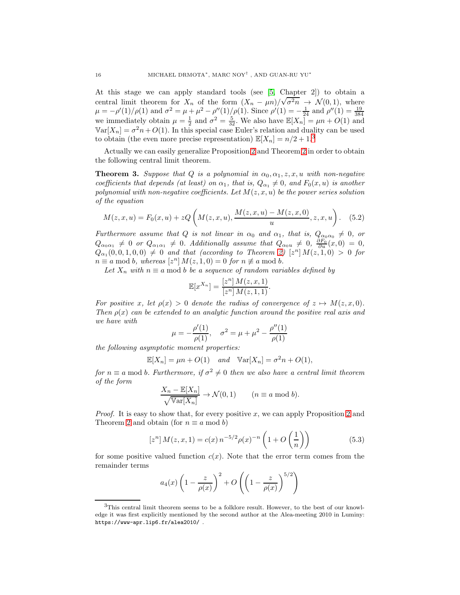At this stage we can apply standard tools (see [\[5,](#page-20-5) Chapter 2]) to obtain a central limit theorem for  $X_n$  of the form  $(X_n - \mu n)/(\sqrt{\sigma^2 n} \rightarrow \mathcal{N}(0, 1))$ , where  $\mu = -\rho'(1)/\rho(1)$  and  $\sigma^2 = \mu + \mu^2 - \rho''(1)/\rho(1)$ . Since  $\rho'(1) = -\frac{1}{24}$  and  $\rho''(1) = \frac{19}{384}$ <br>we immediately obtain  $\mu = \frac{1}{2}$  and  $\sigma^2 = \frac{5}{32}$ . We also have  $\mathbb{E}[X_n] = \mu n + O(1)$  and  $\mathbb{V}\text{ar}[X_n] = \sigma^2 n + O(1)$ . In this special case Euler's relation and duality can be used to obtain (the even more precise representation)  $\mathbb{E}[X_n] = n/2 + 1$ <sup>[3](#page-15-0)</sup>

Actually we can easily generalize Proposition [2](#page-3-3) and Theorem [2](#page-4-0) in order to obtain the following central limit theorem.

<span id="page-15-2"></span>**Theorem 3.** Suppose that Q is a polynomial in  $\alpha_0, \alpha_1, z, x, u$  with non-negative coefficients that depends (at least) on  $\alpha_1$ , that is,  $Q_{\alpha_1} \neq 0$ , and  $F_0(x, u)$  is another polynomial with non-negative coefficients. Let  $M(z, x, u)$  be the power series solution of the equation

$$
M(z, x, u) = F_0(x, u) + zQ\left(M(z, x, u), \frac{M(z, x, u) - M(z, x, 0)}{u}, z, x, u\right).
$$
 (5.2)

Furthermore assume that Q is not linear in  $\alpha_0$  and  $\alpha_1$ , that is,  $Q_{\alpha_0\alpha_0} \neq 0$ , or  $Q_{\alpha_0\alpha_1} \neq 0$  or  $Q_{\alpha_1\alpha_1} \neq 0$ . Additionally assume that  $Q_{\alpha_0u} \neq 0$ ,  $\frac{\partial F_0}{\partial u}(x,0) = 0$ ,  $Q_{\alpha_1}(0,0,1,0,0) \neq 0$  and that (according to Theorem [2\)](#page-4-0)  $[z^n] M(z,1,0) > 0$  for  $n \equiv a \mod b$ , whereas  $[z^n] M(z, 1, 0) = 0$  for  $n \not\equiv a \mod b$ .

Let  $X_n$  with  $n \equiv a \mod b$  be a sequence of random variables defined by

$$
\mathbb{E}[x^{X_n}] = \frac{[z^n] M(z, x, 1)}{[z^n] M(z, 1, 1)}.
$$

For positive x, let  $\rho(x) > 0$  denote the radius of convergence of  $z \mapsto M(z, x, 0)$ . Then  $\rho(x)$  can be extended to an analytic function around the positive real axis and we have with

$$
\mu = -\frac{\rho'(1)}{\rho(1)}, \quad \sigma^2 = \mu + \mu^2 - \frac{\rho''(1)}{\rho(1)}
$$

the following asymptotic moment properties:

$$
\mathbb{E}[X_n] = \mu n + O(1) \quad \text{and} \quad \mathbb{V}\text{ar}[X_n] = \sigma^2 n + O(1),
$$

for  $n \equiv a \mod b$ . Furthermore, if  $\sigma^2 \neq 0$  then we also have a central limit theorem of the form

$$
\frac{X_n - \mathbb{E}[X_n]}{\sqrt{\mathbb{V}\text{ar}[X_n]}} \to \mathcal{N}(0, 1) \qquad (n \equiv a \bmod b).
$$

*Proof.* It is easy to show that, for every positive x, we can apply Proposition [2](#page-3-3) and Theorem [2](#page-4-0) and obtain (for  $n \equiv a \mod b$ )

<span id="page-15-1"></span>
$$
[zn] M(z, x, 1) = c(x) n-5/2 \rho(x)-n \left(1 + O\left(\frac{1}{n}\right)\right)
$$
 (5.3)

for some positive valued function  $c(x)$ . Note that the error term comes from the remainder terms

$$
a_4(x)\left(1-\frac{z}{\rho(x)}\right)^2+O\left(\left(1-\frac{z}{\rho(x)}\right)^{5/2}\right)
$$

<span id="page-15-0"></span><sup>3</sup>This central limit theorem seems to be a folklore result. However, to the best of our knowledge it was first explicitly mentioned by the second author at the Alea-meeting 2010 in Luminy: https://www-apr.lip6.fr/alea2010/ .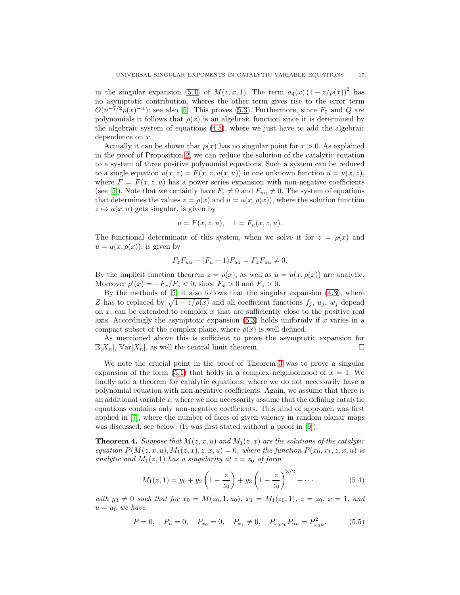in the singular expansion [\(5.1\)](#page-14-1) of  $M(z, x, 1)$ . The term  $a_4(x) (1 - z/\rho(x))^2$  has no asymptotic contribution, wheres the other term gives rise to the error term  $O(n^{-7/2}\rho(x)^{-n})$ ; see also [\[5\]](#page-20-5). This proves [\(5.3\)](#page-15-1). Furthermore, since  $F_0$  and Q are polynomials it follows that  $\rho(x)$  is an algebraic function since it is determined by the algebraic system of equations [\(4.5\)](#page-9-1), where we just have to add the algebraic dependence on x.

Actually it can be shown that  $\rho(x)$  has no singular point for  $x > 0$ . As explained in the proof of Proposition [2,](#page-3-3) we can reduce the solution of the catalytic equation to a system of three positive polynomial equations. Such a system can be reduced to a single equation  $u(x, z) = F(x, z, u(x, u))$  in one unknown function  $u = u(x, z)$ , where  $F = F(x, z, u)$  has a power series expansion with non-negative coefficients (see [\[5\]](#page-20-5)). Note that we certainly have  $F_z \neq 0$  and  $F_{uu} \neq 0$ . The system of equations that determines the values  $z = \rho(x)$  and  $u = u(x, \rho(x))$ , where the solution function  $z \mapsto u(x, u)$  gets singular, is given by

$$
u = F(x, z, u), \quad 1 = F_u(x, z, u).
$$

The functional determinant of this system, when we solve it for  $z = \rho(x)$  and  $u = u(x, \rho(x))$ , is given by

$$
F_zF_{uu}-(F_u-1)F_{uz}=F_zF_{uu}\neq 0.
$$

By the implicit function theorem  $z = \rho(x)$ , as well as  $u = u(x, \rho(x))$  are analytic. Moreover  $\rho'(x) = -F_x/F_z < 0$ , since  $F_x > 0$  and  $F_z > 0$ .

By the methods of [\[5\]](#page-20-5) it also follows that the singular expansion [\(4.3\)](#page-9-2), where Z has to replaced by  $\sqrt{1 - z/\rho(x)}$  and all coefficient functions  $f_j$ ,  $u_j$ ,  $w_j$  depend on  $x$ , can be extended to complex  $x$  that are sufficiently close to the positive real axis. Accordingly the asymptotic expansion  $(5.3)$  holds uniformly if x varies in a compact subset of the complex plane, where  $\rho(x)$  is well defined.

As mentioned above this is sufficient to prove the asymptotic expansion for  $\mathbb{E}[X_n]$ ,  $\mathbb{V}\text{ar}[X_n]$ , as well the central limit theorem.

We note the crucial point in the proof of Theorem [3](#page-15-2) was to prove a singular expansion of the form  $(5.1)$  that holds in a complex neighborhood of  $x = 1$ . We finally add a theorem for catalytic equations, where we do not necessarily have a polynomial equation with non-negative coefficients. Again, we assume that there is an additional variable  $x$ , where we non necessarily assume that the defining catalytic equations contains only non-negative coefficients. This kind of approach was first applied in [\[7\]](#page-20-8), where the number of faces of given valency in random planar maps was discussed; see below. (It was first stated without a proof in [\[9\]](#page-20-9)).

<span id="page-16-2"></span>**Theorem 4.** Suppose that  $M(z, x, u)$  and  $M_1(z, x)$  are the solutions of the catalytic equation  $P(M(z, x, u), M_1(z, x), z, x, u) = 0$ , where the function  $P(x_0, x_1, z, x, u)$  is analytic and  $M_1(z, 1)$  has a singularity at  $z = z_0$  of form

<span id="page-16-1"></span>
$$
M_1(z,1) = y_0 + y_2 \left(1 - \frac{z}{z_0}\right) + y_3 \left(1 - \frac{z}{z_0}\right)^{3/2} + \cdots, \tag{5.4}
$$

with  $y_3 \neq 0$  such that for  $x_0 = M(z_0, 1, u_0), x_1 = M_1(z_0, 1), z = z_0, x = 1, and$  $u = u_0$  we have

<span id="page-16-0"></span>
$$
P = 0
$$
,  $P_u = 0$ ,  $P_{x_0} = 0$ ,  $P_{x_1} \neq 0$ ,  $P_{x_0x_0}P_{uu} = P_{x_0u}^2$ . (5.5)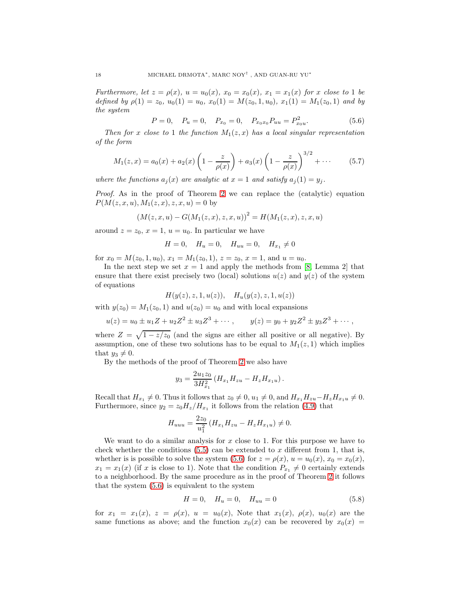Furthermore, let  $z = \rho(x)$ ,  $u = u_0(x)$ ,  $x_0 = x_0(x)$ ,  $x_1 = x_1(x)$  for x close to 1 be defined by  $\rho(1) = z_0$ ,  $u_0(1) = u_0$ ,  $x_0(1) = M(z_0, 1, u_0)$ ,  $x_1(1) = M_1(z_0, 1)$  and by the system

<span id="page-17-0"></span>
$$
P = 0, \quad P_u = 0, \quad P_{x_0} = 0, \quad P_{x_0 x_0} P_{uu} = P_{x_0 u}^2. \tag{5.6}
$$

Then for x close to 1 the function  $M_1(z, x)$  has a local singular representation of the form

<span id="page-17-2"></span>
$$
M_1(z,x) = a_0(x) + a_2(x) \left(1 - \frac{z}{\rho(x)}\right) + a_3(x) \left(1 - \frac{z}{\rho(x)}\right)^{3/2} + \cdots
$$
 (5.7)

where the functions  $a_i(x)$  are analytic at  $x = 1$  and satisfy  $a_i(1) = y_i$ .

Proof. As in the proof of Theorem [2](#page-4-0) we can replace the (catalytic) equation  $P(M(z, x, u), M_1(z, x), z, x, u) = 0$  by

$$
(M(z, x, u) - G(M_1(z, x), z, x, u))^2 = H(M_1(z, x), z, x, u)
$$

around  $z = z_0$ ,  $x = 1$ ,  $u = u_0$ . In particular we have

$$
H = 0, \quad H_u = 0, \quad H_{uu} = 0, \quad H_{x_1} \neq 0
$$

for  $x_0 = M(z_0, 1, u_0)$ ,  $x_1 = M_1(z_0, 1)$ ,  $z = z_0$ ,  $x = 1$ , and  $u = u_0$ .

In the next step we set  $x = 1$  and apply the methods from [\[8,](#page-20-7) Lemma 2] that ensure that there exist precisely two (local) solutions  $u(z)$  and  $y(z)$  of the system of equations

$$
H(y(z), z, 1, u(z)), \quad H_u(y(z), z, 1, u(z))
$$

with  $y(z_0) = M_1(z_0, 1)$  and  $u(z_0) = u_0$  and with local expansions

$$
u(z) = u_0 \pm u_1 Z + u_2 Z^2 \pm u_3 Z^3 + \cdots
$$
,  $y(z) = y_0 + y_2 Z^2 \pm y_3 Z^3 + \cdots$ ,

where  $Z = \sqrt{1 - z/z_0}$  (and the signs are either all positive or all negative). By assumption, one of these two solutions has to be equal to  $M_1(z, 1)$  which implies that  $y_3 \neq 0$ .

By the methods of the proof of Theorem [2](#page-4-0) we also have

$$
y_3 = \frac{2u_1z_0}{3H_{x_1}^2} (H_{x_1}H_{zu} - H_zH_{x_1u}).
$$

Recall that  $H_{x_1} \neq 0$ . Thus it follows that  $z_0 \neq 0$ ,  $u_1 \neq 0$ , and  $H_{x_1}H_{zu}-H_zH_{x_1}u \neq 0$ . Furthermore, since  $y_2 = z_0 H_z/H_{x_1}$  it follows from the relation [\(4.9\)](#page-12-3) that

$$
H_{uuu} = \frac{2z_0}{u_1^2} \left( H_{x_1} H_{zu} - H_z H_{x_1u} \right) \neq 0.
$$

We want to do a similar analysis for  $x$  close to 1. For this purpose we have to check whether the conditions  $(5.5)$  can be extended to x different from 1, that is, whether is is possible to solve the system [\(5.6\)](#page-17-0) for  $z = \rho(x)$ ,  $u = u_0(x)$ ,  $x_0 = x_0(x)$ ,  $x_1 = x_1(x)$  (if x is close to 1). Note that the condition  $P_{x_1} \neq 0$  certainly extends to a neighborhood. By the same procedure as in the proof of Theorem [2](#page-4-0) it follows that the system [\(5.6\)](#page-17-0) is equivalent to the system

<span id="page-17-1"></span>
$$
H = 0, \quad H_u = 0, \quad H_{uu} = 0 \tag{5.8}
$$

for  $x_1 = x_1(x)$ ,  $z = \rho(x)$ ,  $u = u_0(x)$ , Note that  $x_1(x)$ ,  $\rho(x)$ ,  $u_0(x)$  are the same functions as above; and the function  $x_0(x)$  can be recovered by  $x_0(x) =$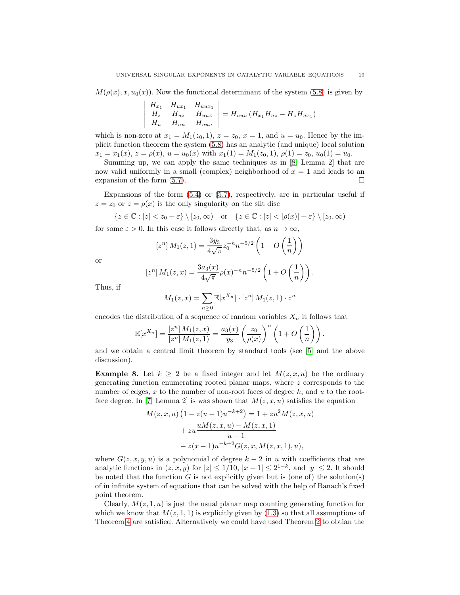$M(\rho(x), x, u_0(x))$ . Now the functional determinant of the system [\(5.8\)](#page-17-1) is given by

$$
\begin{vmatrix}\nH_{x_1} & H_{ux_1} & H_{uux_1} \\
H_z & H_{uz} & H_{uuz} \\
H_u & H_{uu} & H_{uuu}\n\end{vmatrix} = H_{uuu} (H_{x_1} H_{uz} - H_z H_{ux_1})
$$

which is non-zero at  $x_1 = M_1(z_0, 1)$ ,  $z = z_0$ ,  $x = 1$ , and  $u = u_0$ . Hence by the implicit function theorem the system [\(5.8\)](#page-17-1) has an analytic (and unique) local solution  $x_1 = x_1(x), z = \rho(x), u = u_0(x)$  with  $x_1(1) = M_1(z_0, 1), \rho(1) = z_0, u_0(1) = u_0$ .

Summing up, we can apply the same techniques as in [\[8,](#page-20-7) Lemma 2] that are now valid uniformly in a small (complex) neighborhood of  $x = 1$  and leads to an expansion of the form  $(5.7)$ .

Expansions of the form [\(5.4\)](#page-16-1) or [\(5.7\)](#page-17-2), respectively, are in particular useful if  $z = z_0$  or  $z = \rho(x)$  is the only singularity on the slit disc

$$
\{z \in \mathbb{C} : |z| < z_0 + \varepsilon\} \setminus [z_0, \infty) \quad \text{or} \quad \{z \in \mathbb{C} : |z| < |\rho(x)| + \varepsilon\} \setminus [z_0, \infty)
$$

for some  $\varepsilon > 0$ . In this case it follows directly that, as  $n \to \infty$ ,

$$
[z^n] M_1(z,1) = \frac{3y_3}{4\sqrt{\pi}} z_0^{-n} n^{-5/2} \left( 1 + O\left(\frac{1}{n}\right) \right)
$$

or

$$
[zn] M1(z, x) = \frac{3a_3(x)}{4\sqrt{\pi}} \rho(x)^{-n} n^{-5/2} \left(1 + O\left(\frac{1}{n}\right)\right).
$$

Thus, if

 $\overline{\phantom{a}}$  $\overline{\phantom{a}}$  $\overline{\phantom{a}}$  $\overline{\phantom{a}}$  $\overline{\phantom{a}}$  $\begin{array}{c} \end{array}$ 

$$
M_1(z,x) = \sum_{n\geq 0} \mathbb{E}[x^{X_n}] \cdot [z^n] M_1(z,1) \cdot z^n
$$

encodes the distribution of a sequence of random variables  $X_n$  it follows that

$$
\mathbb{E}[x^{X_n}] = \frac{[z^n] M_1(z, x)}{[z^n] M_1(z, 1)} = \frac{a_3(x)}{y_3} \left(\frac{z_0}{\rho(x)}\right)^n \left(1 + O\left(\frac{1}{n}\right)\right).
$$

and we obtain a central limit theorem by standard tools (see [\[5\]](#page-20-5) and the above discussion).

**Example 8.** Let  $k \geq 2$  be a fixed integer and let  $M(z, x, u)$  be the ordinary generating function enumerating rooted planar maps, where z corresponds to the number of edges,  $x$  to the number of non-root faces of degree  $k$ , and  $u$  to the root-face degree. In [\[7,](#page-20-8) Lemma 2] is was shown that  $M(z, x, u)$  satisfies the equation

$$
M(z, x, u) \left( 1 - z(u - 1)u^{-k+2} \right) = 1 + zu^{2}M(z, x, u)
$$

$$
+ zu \frac{uM(z, x, u) - M(z, x, 1)}{u - 1}
$$

$$
- z(x - 1)u^{-k+2}G(z, x, M(z, x, 1), u),
$$

where  $G(z, x, y, u)$  is a polynomial of degree  $k - 2$  in u with coefficients that are analytic functions in  $(z, x, y)$  for  $|z| \leq 1/10$ ,  $|x - 1| \leq 2^{1-k}$ , and  $|y| \leq 2$ . It should be noted that the function  $G$  is not explicitly given but is (one of) the solution(s) of in infinite system of equations that can be solved with the help of Banach's fixed point theorem.

Clearly,  $M(z, 1, u)$  is just the usual planar map counting generating function for which we know that  $M(z, 1, 1)$  is explicitly given by  $(1.3)$  so that all assumptions of Theorem [4](#page-16-2) are satisfied. Alternatively we could have used Theorem [2](#page-4-0) to obtian the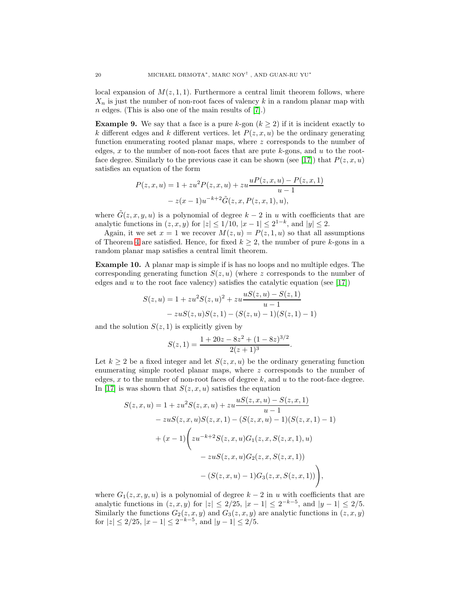local expansion of  $M(z, 1, 1)$ . Furthermore a central limit theorem follows, where  $X_n$  is just the number of non-root faces of valency k in a random planar map with  $n$  edges. (This is also one of the main results of [\[7\]](#page-20-8).)

**Example 9.** We say that a face is a pure k-gon  $(k \geq 2)$  if it is incident exactly to k different edges and k different vertices. let  $P(z, x, u)$  be the ordinary generating function enumerating rooted planar maps, where z corresponds to the number of edges, x to the number of non-root faces that are pute  $k$ -gons, and u to the root-face degree. Similarly to the previous case it can be shown (see [\[17\]](#page-20-10)) that  $P(z, x, u)$ satisfies an equation of the form

$$
P(z, x, u) = 1 + zu^{2}P(z, x, u) + zu \frac{uP(z, x, u) - P(z, x, 1)}{u - 1}
$$

$$
- z(x - 1)u^{-k+2}\tilde{G}(z, x, P(z, x, 1), u),
$$

where  $\tilde{G}(z, x, y, u)$  is a polynomial of degree  $k - 2$  in u with coefficients that are analytic functions in  $(z, x, y)$  for  $|z| \le 1/10$ ,  $|x - 1| \le 2^{1-k}$ , and  $|y| \le 2$ .

Again, it we set  $x = 1$  we recover  $M(z, u) = P(z, 1, u)$  so that all assumptions of Theorem [4](#page-16-2) are satisfied. Hence, for fixed  $k \geq 2$ , the number of pure k-gons in a random planar map satisfies a central limit theorem.

Example 10. A planar map is simple if is has no loops and no multiple edges. The corresponding generating function  $S(z, u)$  (where z corresponds to the number of edges and u to the root face valency) satisfies the catalytic equation (see [\[17\]](#page-20-10))

$$
S(z, u) = 1 + zu2S(z, u)2 + zu \frac{uS(z, u) - S(z, 1)}{u - 1}
$$
  
- zuS(z, u)S(z, 1) - (S(z, u) - 1)(S(z, 1) - 1)

and the solution  $S(z, 1)$  is explicitly given by

$$
S(z, 1) = \frac{1 + 20z - 8z^2 + (1 - 8z)^{3/2}}{2(z + 1)^3}.
$$

Let  $k \geq 2$  be a fixed integer and let  $S(z, x, u)$  be the ordinary generating function enumerating simple rooted planar maps, where  $z$  corresponds to the number of edges,  $x$  to the number of non-root faces of degree  $k$ , and  $u$  to the root-face degree. In [\[17\]](#page-20-10) is was shown that  $S(z, x, u)$  satisfies the equation

$$
S(z, x, u) = 1 + zu^{2}S(z, x, u) + zu \frac{uS(z, x, u) - S(z, x, 1)}{u - 1}
$$
  
\n
$$
- zuS(z, x, u)S(z, x, 1) - (S(z, x, u) - 1)(S(z, x, 1) - 1)
$$
  
\n
$$
+ (x - 1) \left( zu^{-k+2}S(z, x, u)G_{1}(z, x, S(z, x, 1), u) - zuS(z, x, u)G_{2}(z, x, S(z, x, 1)) \right)
$$
  
\n
$$
- (S(z, x, u) - 1)G_{3}(z, x, S(z, x, 1)) \Big),
$$

where  $G_1(z, x, y, u)$  is a polynomial of degree  $k - 2$  in u with coefficients that are analytic functions in  $(z, x, y)$  for  $|z| \leq 2/25$ ,  $|x - 1| \leq 2^{-k-5}$ , and  $|y - 1| \leq 2/5$ . Similarly the functions  $G_2(z, x, y)$  and  $G_3(z, x, y)$  are analytic functions in  $(z, x, y)$ for  $|z| \le 2/25$ ,  $|x-1| \le 2^{-k-5}$ , and  $|y-1| \le 2/5$ .